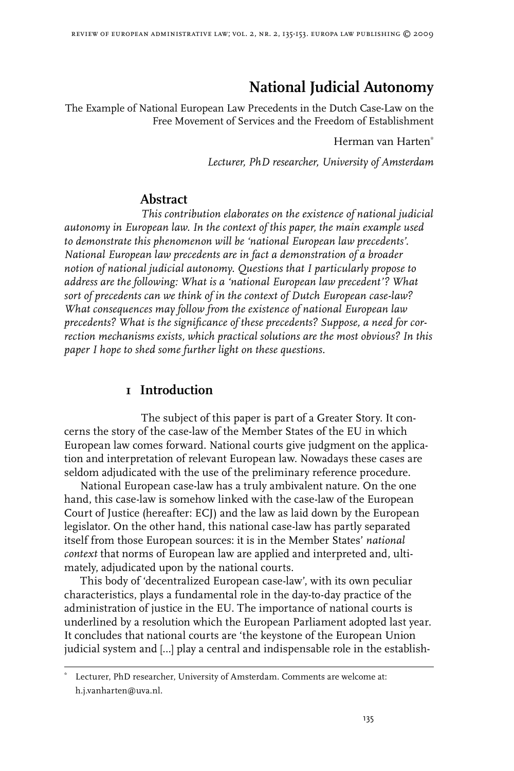# **National Judicial Autonomy**

The Example of National European Law Precedents in the Dutch Case-Law on the Free Movement of Services and the Freedom of Establishment

Herman van Harten\*

*Lecturer, PhD researcher, University of Amsterdam*

# **Abstract**

*This contribution elaborates on the existence of national judicial autonomy in European law. In the context of this paper, the main example used to demonstrate this phenomenon will be 'national European law precedents'. National European law precedents are in fact a demonstration of a broader notion of national judicial autonomy. Questions that I particularly propose to address are the following: What is a 'national European law precedent'? What sort of precedents can we think of in the context of Dutch European case-law? What consequences may follow from the existence of national European law precedents? What is the significance of these precedents? Suppose, a need for correction mechanisms exists, which practical solutions are the most obvious? In this paper I hope to shed some further light on these questions.* 

# **1 Introduction**

The subject of this paper is part of a Greater Story. It concerns the story of the case-law of the Member States of the EU in which European law comes forward. National courts give judgment on the application and interpretation of relevant European law. Nowadays these cases are seldom adjudicated with the use of the preliminary reference procedure.

National European case-law has a truly ambivalent nature. On the one hand, this case-law is somehow linked with the case-law of the European Court of Justice (hereafter: ECJ) and the law as laid down by the European legislator. On the other hand, this national case-law has partly separated itself from those European sources: it is in the Member States' *national context* that norms of European law are applied and interpreted and, ultimately, adjudicated upon by the national courts.

This body of 'decentralized European case-law', with its own peculiar characteristics, plays a fundamental role in the day-to-day practice of the administration of justice in the EU. The importance of national courts is underlined by a resolution which the European Parliament adopted last year. It concludes that national courts are 'the keystone of the European Union judicial system and […] play a central and indispensable role in the establish-

<sup>\*</sup> Lecturer, PhD researcher, University of Amsterdam. Comments are welcome at: h.j.vanharten@uva.nl.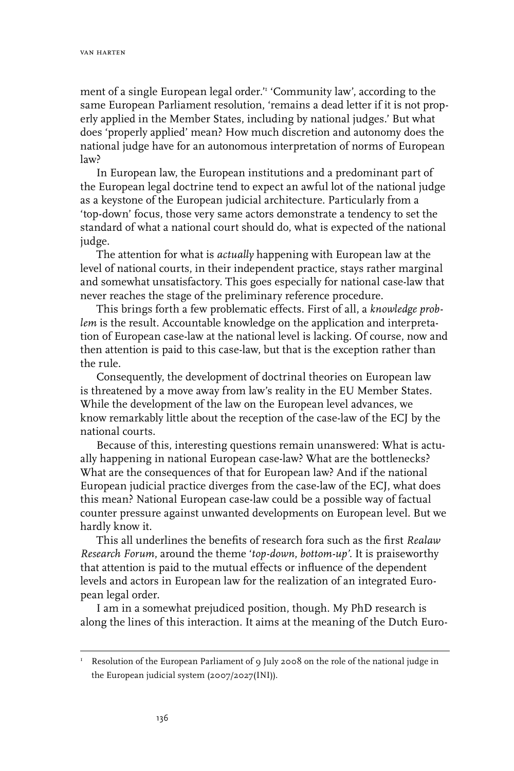ment of a single European legal order.' 'Community law', according to the same European Parliament resolution, 'remains a dead letter if it is not properly applied in the Member States, including by national judges.' But what does 'properly applied' mean? How much discretion and autonomy does the national judge have for an autonomous interpretation of norms of European law?

In European law, the European institutions and a predominant part of the European legal doctrine tend to expect an awful lot of the national judge as a keystone of the European judicial architecture. Particularly from a 'top-down' focus, those very same actors demonstrate a tendency to set the standard of what a national court should do, what is expected of the national judge.

The attention for what is *actually* happening with European law at the level of national courts, in their independent practice, stays rather marginal and somewhat unsatisfactory. This goes especially for national case-law that never reaches the stage of the preliminary reference procedure.

This brings forth a few problematic effects. First of all, a *knowledge problem* is the result. Accountable knowledge on the application and interpretation of European case-law at the national level is lacking. Of course, now and then attention is paid to this case-law, but that is the exception rather than the rule.

Consequently, the development of doctrinal theories on European law is threatened by a move away from law's reality in the EU Member States. While the development of the law on the European level advances, we know remarkably little about the reception of the case-law of the ECJ by the national courts.

Because of this, interesting questions remain unanswered: What is actually happening in national European case-law? What are the bottlenecks? What are the consequences of that for European law? And if the national European judicial practice diverges from the case-law of the ECJ, what does this mean? National European case-law could be a possible way of factual counter pressure against unwanted developments on European level. But we hardly know it.

This all underlines the benefits of research fora such as the first *Realaw Research Forum*, around the theme '*top-down*, *bottom-up'*. It is praiseworthy that attention is paid to the mutual effects or influence of the dependent levels and actors in European law for the realization of an integrated European legal order.

I am in a somewhat prejudiced position, though. My PhD research is along the lines of this interaction. It aims at the meaning of the Dutch Euro-

 $P^I$  Resolution of the European Parliament of 9 July 2008 on the role of the national judge in the European judicial system (2007/2027(INI)).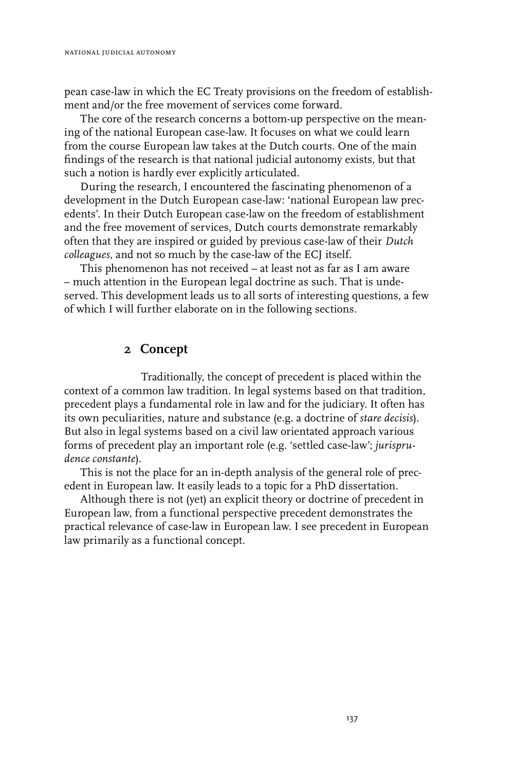pean case-law in which the EC Treaty provisions on the freedom of establishment and/or the free movement of services come forward.

The core of the research concerns a bottom-up perspective on the meaning of the national European case-law. It focuses on what we could learn from the course European law takes at the Dutch courts. One of the main findings of the research is that national judicial autonomy exists, but that such a notion is hardly ever explicitly articulated.

During the research, I encountered the fascinating phenomenon of a development in the Dutch European case-law: 'national European law precedents'. In their Dutch European case-law on the freedom of establishment and the free movement of services, Dutch courts demonstrate remarkably often that they are inspired or guided by previous case-law of their *Dutch colleagues*, and not so much by the case-law of the ECJ itself.

This phenomenon has not received – at least not as far as I am aware – much attention in the European legal doctrine as such. That is undeserved. This development leads us to all sorts of interesting questions, a few of which I will further elaborate on in the following sections.

# **2 Concept**

Traditionally, the concept of precedent is placed within the context of a common law tradition. In legal systems based on that tradition, precedent plays a fundamental role in law and for the judiciary. It often has its own peculiarities, nature and substance (e.g. a doctrine of *stare decisis*). But also in legal systems based on a civil law orientated approach various forms of precedent play an important role (e.g. 'settled case-law'; *jurisprudence constante*).

This is not the place for an in-depth analysis of the general role of precedent in European law. It easily leads to a topic for a PhD dissertation.

Although there is not (yet) an explicit theory or doctrine of precedent in European law, from a functional perspective precedent demonstrates the practical relevance of case-law in European law. I see precedent in European law primarily as a functional concept.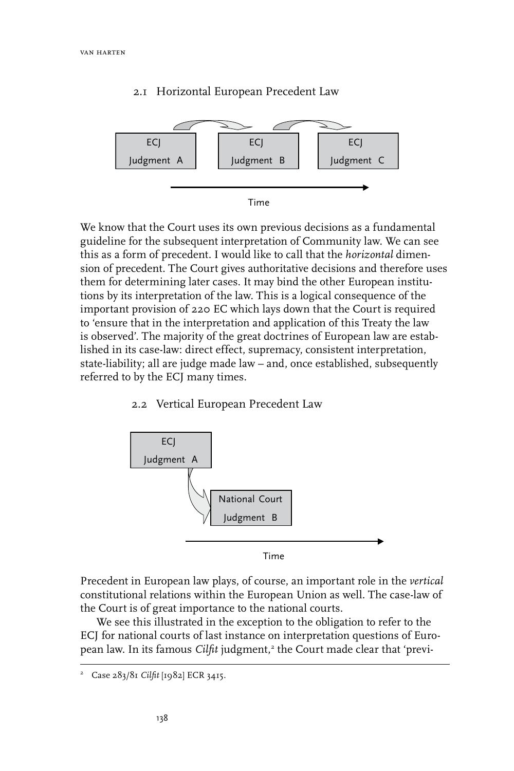

#### 2.1 Horizontal European Precedent Law

We know that the Court uses its own previous decisions as a fundamental guideline for the subsequent interpretation of Community law. We can see this as a form of precedent. I would like to call that the *horizontal* dimension of precedent. The Court gives authoritative decisions and therefore uses them for determining later cases. It may bind the other European institutions by its interpretation of the law. This is a logical consequence of the important provision of 220 EC which lays down that the Court is required to 'ensure that in the interpretation and application of this Treaty the law is observed'. The majority of the great doctrines of European law are established in its case-law: direct effect, supremacy, consistent interpretation, state-liability; all are judge made law – and, once established, subsequently referred to by the ECJ many times.

## 2.2 Vertical European Precedent Law



Precedent in European law plays, of course, an important role in the *vertical* constitutional relations within the European Union as well. The case-law of the Court is of great importance to the national courts.

We see this illustrated in the exception to the obligation to refer to the ECJ for national courts of last instance on interpretation questions of European law. In its famous *Cilfit* judgment,<sup>2</sup> the Court made clear that 'previ-

Case 283/81 *Cilfit* [1982] ECR 3415.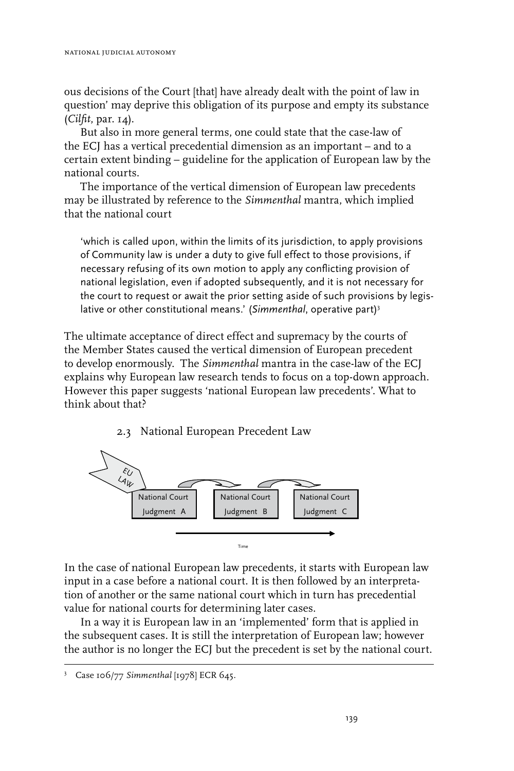ous decisions of the Court [that] have already dealt with the point of law in question' may deprive this obligation of its purpose and empty its substance (*Cilfit*, par. 14).

But also in more general terms, one could state that the case-law of the ECJ has a vertical precedential dimension as an important – and to a certain extent binding – guideline for the application of European law by the national courts.

The importance of the vertical dimension of European law precedents may be illustrated by reference to the *Simmenthal* mantra, which implied that the national court

'which is called upon, within the limits of its jurisdiction, to apply provisions of Community law is under a duty to give full effect to those provisions, if necessary refusing of its own motion to apply any conflicting provision of national legislation, even if adopted subsequently, and it is not necessary for the court to request or await the prior setting aside of such provisions by legislative or other constitutional means.' (*Simmenthal*, operative part)3

The ultimate acceptance of direct effect and supremacy by the courts of the Member States caused the vertical dimension of European precedent to develop enormously. The *Simmenthal* mantra in the case-law of the ECJ explains why European law research tends to focus on a top-down approach. However this paper suggests 'national European law precedents'. What to think about that?

2.3 National European Precedent Law



In the case of national European law precedents, it starts with European law input in a case before a national court. It is then followed by an interpretation of another or the same national court which in turn has precedential value for national courts for determining later cases.

In a way it is European law in an 'implemented' form that is applied in the subsequent cases. It is still the interpretation of European law; however the author is no longer the ECJ but the precedent is set by the national court.

<sup>&</sup>lt;sup>3</sup> Case 106/77 Simmenthal [1978] ECR 645.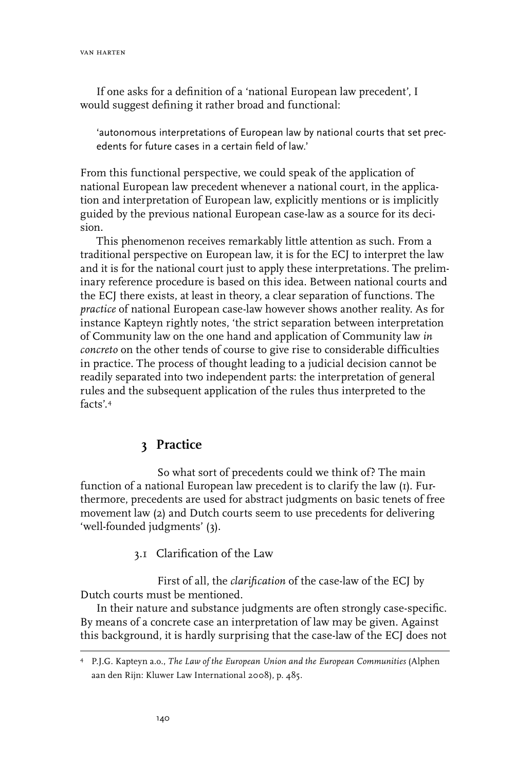If one asks for a definition of a 'national European law precedent', I would suggest defining it rather broad and functional:

'autonomous interpretations of European law by national courts that set precedents for future cases in a certain field of law.'

From this functional perspective, we could speak of the application of national European law precedent whenever a national court, in the application and interpretation of European law, explicitly mentions or is implicitly guided by the previous national European case-law as a source for its decision.

This phenomenon receives remarkably little attention as such. From a traditional perspective on European law, it is for the ECJ to interpret the law and it is for the national court just to apply these interpretations. The preliminary reference procedure is based on this idea. Between national courts and the ECJ there exists, at least in theory, a clear separation of functions. The *practice* of national European case-law however shows another reality. As for instance Kapteyn rightly notes, 'the strict separation between interpretation of Community law on the one hand and application of Community law *in concreto* on the other tends of course to give rise to considerable difficulties in practice. The process of thought leading to a judicial decision cannot be readily separated into two independent parts: the interpretation of general rules and the subsequent application of the rules thus interpreted to the facts' 4

# **3 Practice**

So what sort of precedents could we think of? The main function of a national European law precedent is to clarify the law (1). Furthermore, precedents are used for abstract judgments on basic tenets of free movement law (2) and Dutch courts seem to use precedents for delivering 'well-founded judgments' (3).

3.1 Clarification of the Law

First of all, the *clarification* of the case-law of the ECJ by Dutch courts must be mentioned.

In their nature and substance judgments are often strongly case-specific. By means of a concrete case an interpretation of law may be given. Against this background, it is hardly surprising that the case-law of the ECJ does not

P.J.G. Kapteyn a.o., *The Law of the European Union and the European Communities* (Alphen aan den Rijn: Kluwer Law International 2008), p. 485.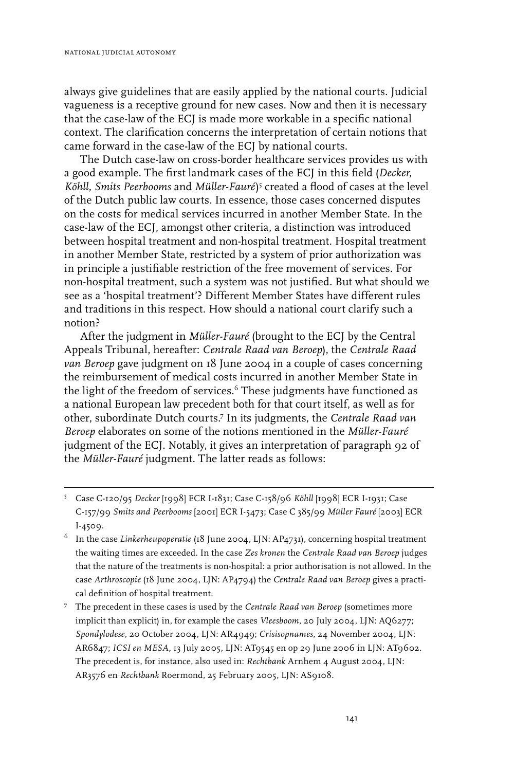always give guidelines that are easily applied by the national courts. Judicial vagueness is a receptive ground for new cases. Now and then it is necessary that the case-law of the ECJ is made more workable in a specific national context. The clarification concerns the interpretation of certain notions that came forward in the case-law of the ECJ by national courts.

The Dutch case-law on cross-border healthcare services provides us with a good example. The first landmark cases of the ECJ in this field (*Decker*, *Köhll, Smits Peerbooms* and *Müller-Fauré*) created a flood of cases at the level of the Dutch public law courts. In essence, those cases concerned disputes on the costs for medical services incurred in another Member State. In the case-law of the ECJ, amongst other criteria, a distinction was introduced between hospital treatment and non-hospital treatment. Hospital treatment in another Member State, restricted by a system of prior authorization was in principle a justifiable restriction of the free movement of services. For non-hospital treatment, such a system was not justified. But what should we see as a 'hospital treatment'? Different Member States have different rules and traditions in this respect. How should a national court clarify such a notion?

After the judgment in *Müller-Fauré* (brought to the ECJ by the Central Appeals Tribunal, hereafter: *Centrale Raad van Beroep*), the *Centrale Raad van Beroep* gave judgment on 18 June 2004 in a couple of cases concerning the reimbursement of medical costs incurred in another Member State in the light of the freedom of services.<sup>6</sup> These judgments have functioned as a national European law precedent both for that court itself, as well as for other, subordinate Dutch courts. In its judgments, the *Centrale Raad van Beroep* elaborates on some of the notions mentioned in the *Müller-Fauré*  judgment of the ECJ. Notably, it gives an interpretation of paragraph 92 of the *Müller-Fauré* judgment. The latter reads as follows:

Case C-120/95 *Decker* [1998] ECR I-1831; Case C-158/96 *Köhll* [1998] ECR I-1931; Case C-157/99 *Smits and Peerbooms* [2001] ECR I-5473; Case C 385/99 *Müller Fauré* [2003] ECR I-4509.

In the case *Linkerheupoperatie* (18 June 2004, LJN: AP4731)*,* concerning hospital treatment the waiting times are exceeded. In the case *Zes kronen* the *Centrale Raad van Beroep* judges that the nature of the treatments is non-hospital: a prior authorisation is not allowed. In the case *Arthroscopie* (18 June 2004, LJN: AP4794) the *Centrale Raad van Beroep* gives a practical definition of hospital treatment.

The precedent in these cases is used by the *Centrale Raad van Beroep* (sometimes more implicit than explicit) in, for example the cases *Vleesboom*, 20 July 2004, LJN: AQ6277; *Spondylodese,* 20 October 2004, LJN: AR4949; *Crisisopnames*, 24 November 2004, LJN: AR6847; *ICSI en MESA*, 13 July 2005, LJN: AT9545 en op 29 June 2006 in LJN: AT9602. The precedent is, for instance, also used in: *Rechtbank* Arnhem 4 August 2004, LJN: AR3576 en *Rechtbank* Roermond, 25 February 2005, LJN: AS9108.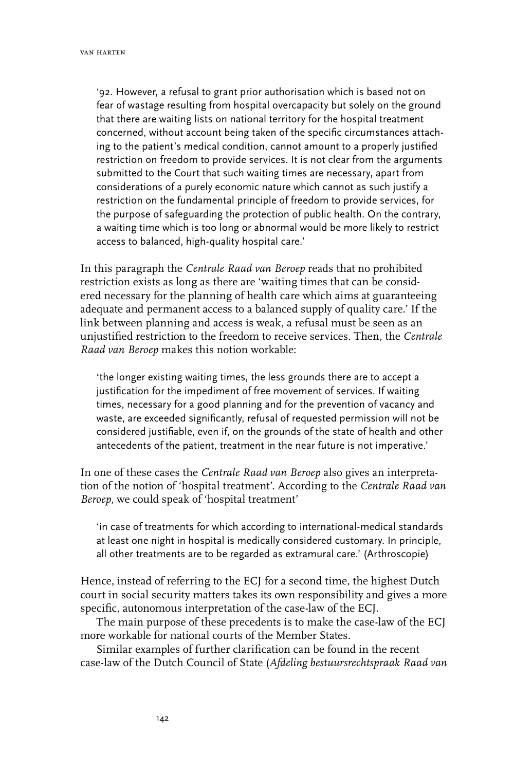'92. However, a refusal to grant prior authorisation which is based not on fear of wastage resulting from hospital overcapacity but solely on the ground that there are waiting lists on national territory for the hospital treatment concerned, without account being taken of the specific circumstances attaching to the patient's medical condition, cannot amount to a properly justified restriction on freedom to provide services. It is not clear from the arguments submitted to the Court that such waiting times are necessary, apart from considerations of a purely economic nature which cannot as such justify a restriction on the fundamental principle of freedom to provide services, for the purpose of safeguarding the protection of public health. On the contrary, a waiting time which is too long or abnormal would be more likely to restrict access to balanced, high-quality hospital care.'

In this paragraph the *Centrale Raad van Beroep* reads that no prohibited restriction exists as long as there are 'waiting times that can be considered necessary for the planning of health care which aims at guaranteeing adequate and permanent access to a balanced supply of quality care.' If the link between planning and access is weak, a refusal must be seen as an unjustified restriction to the freedom to receive services. Then, the *Centrale Raad van Beroep* makes this notion workable:

'the longer existing waiting times, the less grounds there are to accept a justification for the impediment of free movement of services. If waiting times, necessary for a good planning and for the prevention of vacancy and waste, are exceeded significantly, refusal of requested permission will not be considered justifiable, even if, on the grounds of the state of health and other antecedents of the patient, treatment in the near future is not imperative.'

In one of these cases the *Centrale Raad van Beroep* also gives an interpretation of the notion of 'hospital treatment'. According to the *Centrale Raad van Beroep*, we could speak of 'hospital treatment'

'in case of treatments for which according to international-medical standards at least one night in hospital is medically considered customary. In principle, all other treatments are to be regarded as extramural care.' (Arthroscopie)

Hence, instead of referring to the ECJ for a second time, the highest Dutch court in social security matters takes its own responsibility and gives a more specific, autonomous interpretation of the case-law of the ECJ.

The main purpose of these precedents is to make the case-law of the ECJ more workable for national courts of the Member States.

Similar examples of further clarification can be found in the recent case-law of the Dutch Council of State (*Afdeling bestuursrechtspraak Raad van*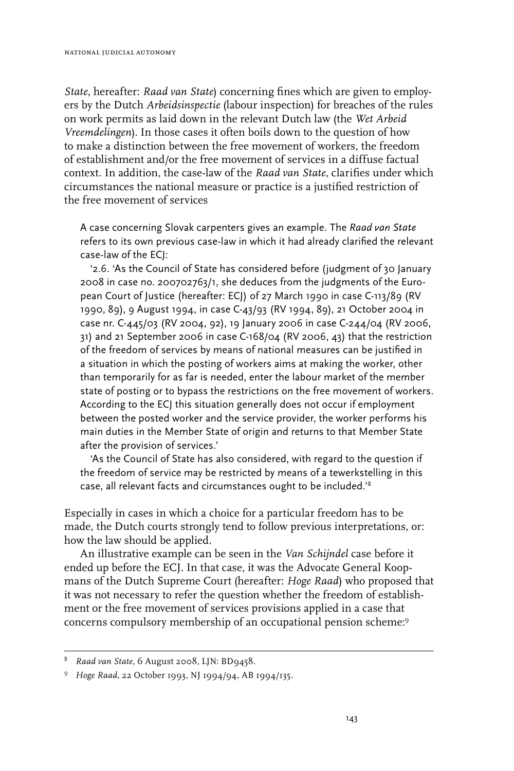*State*, hereafter: *Raad van State*) concerning fines which are given to employers by the Dutch *Arbeidsinspectie* (labour inspection) for breaches of the rules on work permits as laid down in the relevant Dutch law (the *Wet Arbeid Vreemdelingen*). In those cases it often boils down to the question of how to make a distinction between the free movement of workers, the freedom of establishment and/or the free movement of services in a diffuse factual context. In addition, the case-law of the *Raad van State*, clarifies under which circumstances the national measure or practice is a justified restriction of the free movement of services

A case concerning Slovak carpenters gives an example. The *Raad van State* refers to its own previous case-law in which it had already clarified the relevant case-law of the ECJ:

'2.6. 'As the Council of State has considered before (judgment of 30 January 2008 in case no. 200702763/1, she deduces from the judgments of the European Court of Justice (hereafter: ECJ) of 27 March 1990 in case C-113/89 (RV 1990, 89), 9 August 1994, in case C-43/93 (RV 1994, 89), 21 October 2004 in case nr. C-445/03 (RV 2004, 92), 19 January 2006 in case C-244/04 (RV 2006, 31) and 21 September 2006 in case C-168/04 (RV 2006, 43) that the restriction of the freedom of services by means of national measures can be justified in a situation in which the posting of workers aims at making the worker, other than temporarily for as far is needed, enter the labour market of the member state of posting or to bypass the restrictions on the free movement of workers. According to the ECJ this situation generally does not occur if employment between the posted worker and the service provider, the worker performs his main duties in the Member State of origin and returns to that Member State after the provision of services.'

'As the Council of State has also considered, with regard to the question if the freedom of service may be restricted by means of a tewerkstelling in this case, all relevant facts and circumstances ought to be included.'8

Especially in cases in which a choice for a particular freedom has to be made, the Dutch courts strongly tend to follow previous interpretations, or: how the law should be applied.

An illustrative example can be seen in the *Van Schijndel* case before it ended up before the ECJ. In that case, it was the Advocate General Koopmans of the Dutch Supreme Court (hereafter: *Hoge Raad*) who proposed that it was not necessary to refer the question whether the freedom of establishment or the free movement of services provisions applied in a case that concerns compulsory membership of an occupational pension scheme:

*Raad van State*, 6 August 2008, LJN: BD9458.

*Hoge Raad*, 22 October 1993, NJ 1994/94, AB 1994/135.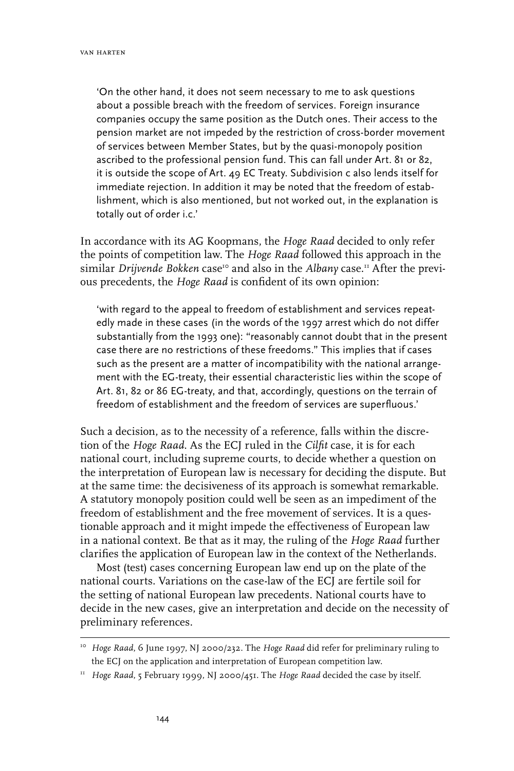'On the other hand, it does not seem necessary to me to ask questions about a possible breach with the freedom of services. Foreign insurance companies occupy the same position as the Dutch ones. Their access to the pension market are not impeded by the restriction of cross-border movement of services between Member States, but by the quasi-monopoly position ascribed to the professional pension fund. This can fall under Art. 81 or 82, it is outside the scope of Art. 49 EC Treaty. Subdivision c also lends itself for immediate rejection. In addition it may be noted that the freedom of establishment, which is also mentioned, but not worked out, in the explanation is totally out of order i.c.'

In accordance with its AG Koopmans, the *Hoge Raad* decided to only refer the points of competition law. The *Hoge Raad* followed this approach in the similar *Drijvende Bokken* case<sup>10</sup> and also in the *Albany* case.<sup>11</sup> After the previous precedents, the *Hoge Raad* is confident of its own opinion:

'with regard to the appeal to freedom of establishment and services repeatedly made in these cases (in the words of the 1997 arrest which do not differ substantially from the 1993 one): "reasonably cannot doubt that in the present case there are no restrictions of these freedoms." This implies that if cases such as the present are a matter of incompatibility with the national arrangement with the EG-treaty, their essential characteristic lies within the scope of Art. 81, 82 or 86 EG-treaty, and that, accordingly, questions on the terrain of freedom of establishment and the freedom of services are superfluous.'

Such a decision, as to the necessity of a reference, falls within the discretion of the *Hoge Raad*. As the ECJ ruled in the *Cilfit* case, it is for each national court, including supreme courts, to decide whether a question on the interpretation of European law is necessary for deciding the dispute. But at the same time: the decisiveness of its approach is somewhat remarkable. A statutory monopoly position could well be seen as an impediment of the freedom of establishment and the free movement of services. It is a questionable approach and it might impede the effectiveness of European law in a national context. Be that as it may, the ruling of the *Hoge Raad* further clarifies the application of European law in the context of the Netherlands.

Most (test) cases concerning European law end up on the plate of the national courts. Variations on the case-law of the ECJ are fertile soil for the setting of national European law precedents. National courts have to decide in the new cases, give an interpretation and decide on the necessity of preliminary references.

<sup>10</sup> *Hoge Raad*, 6 June 1997, NJ 2000/232. The *Hoge Raad* did refer for preliminary ruling to the ECJ on the application and interpretation of European competition law.

<sup>11</sup> *Hoge Raad*, 5 February 1999, NJ 2000/451. The *Hoge Raad* decided the case by itself.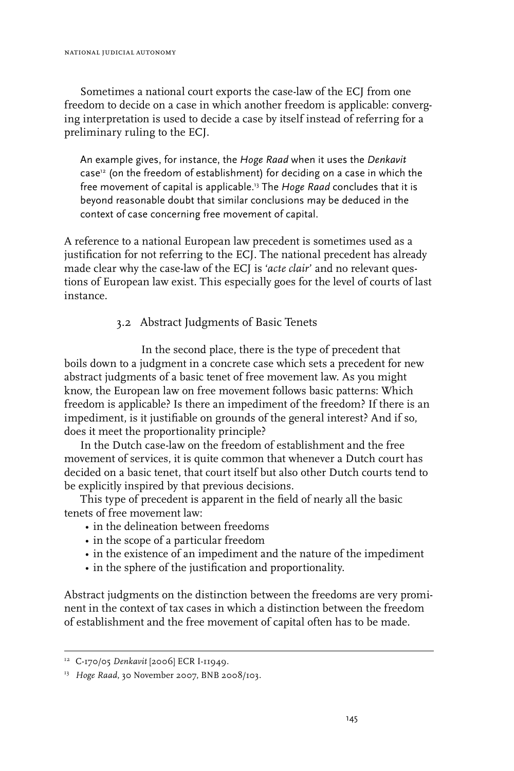national judicial autonomy

Sometimes a national court exports the case-law of the ECJ from one freedom to decide on a case in which another freedom is applicable: converging interpretation is used to decide a case by itself instead of referring for a preliminary ruling to the ECJ.

An example gives, for instance, the *Hoge Raad* when it uses the *Denkavit* case<sup>12</sup> (on the freedom of establishment) for deciding on a case in which the free movement of capital is applicable.13 The *Hoge Raad* concludes that it is beyond reasonable doubt that similar conclusions may be deduced in the context of case concerning free movement of capital.

A reference to a national European law precedent is sometimes used as a justification for not referring to the ECJ. The national precedent has already made clear why the case-law of the ECJ is '*acte clair*' and no relevant questions of European law exist. This especially goes for the level of courts of last instance.

# 3.2 Abstract Judgments of Basic Tenets

In the second place, there is the type of precedent that boils down to a judgment in a concrete case which sets a precedent for new abstract judgments of a basic tenet of free movement law. As you might know, the European law on free movement follows basic patterns: Which freedom is applicable? Is there an impediment of the freedom? If there is an impediment, is it justifiable on grounds of the general interest? And if so, does it meet the proportionality principle?

In the Dutch case-law on the freedom of establishment and the free movement of services, it is quite common that whenever a Dutch court has decided on a basic tenet, that court itself but also other Dutch courts tend to be explicitly inspired by that previous decisions.

This type of precedent is apparent in the field of nearly all the basic tenets of free movement law:

- in the delineation between freedoms
- in the scope of a particular freedom
- in the existence of an impediment and the nature of the impediment
- in the sphere of the justification and proportionality.

Abstract judgments on the distinction between the freedoms are very prominent in the context of tax cases in which a distinction between the freedom of establishment and the free movement of capital often has to be made.

<sup>12</sup> C-170/05 *Denkavit* [2006] ECR I‑11949.

<sup>13</sup> *Hoge Raad*, 30 November 2007, BNB 2008/103.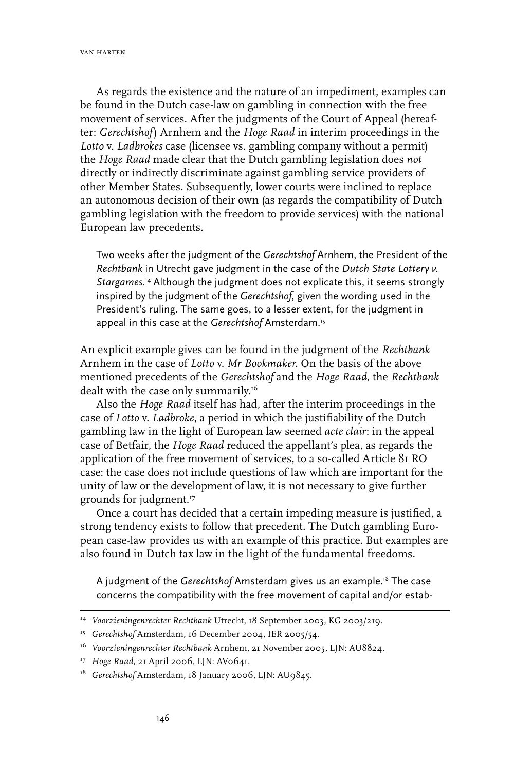As regards the existence and the nature of an impediment, examples can be found in the Dutch case-law on gambling in connection with the free movement of services. After the judgments of the Court of Appeal (hereafter: *Gerechtshof*) Arnhem and the *Hoge Raad* in interim proceedings in the *Lotto* v. *Ladbrokes* case (licensee vs. gambling company without a permit) the *Hoge Raad* made clear that the Dutch gambling legislation does *not* directly or indirectly discriminate against gambling service providers of other Member States. Subsequently, lower courts were inclined to replace an autonomous decision of their own (as regards the compatibility of Dutch gambling legislation with the freedom to provide services) with the national European law precedents.

Two weeks after the judgment of the *Gerechtshof* Arnhem, the President of the *Rechtbank* in Utrecht gave judgment in the case of the *Dutch State Lottery v. Stargames*. 14 Although the judgment does not explicate this, it seems strongly inspired by the judgment of the *Gerechtshof*, given the wording used in the President's ruling. The same goes, to a lesser extent, for the judgment in appeal in this case at the *Gerechtshof* Amsterdam.15

An explicit example gives can be found in the judgment of the *Rechtbank* Arnhem in the case of *Lotto* v. *Mr Bookmaker*. On the basis of the above mentioned precedents of the *Gerechtshof* and the *Hoge Raad*, the *Rechtbank* dealt with the case only summarily.<sup>16</sup>

Also the *Hoge Raad* itself has had, after the interim proceedings in the case of *Lotto* v. *Ladbroke*, a period in which the justifiability of the Dutch gambling law in the light of European law seemed *acte clair*: in the appeal case of Betfair, the *Hoge Raad* reduced the appellant's plea, as regards the application of the free movement of services, to a so-called Article 81 RO case: the case does not include questions of law which are important for the unity of law or the development of law, it is not necessary to give further grounds for judgment.17

Once a court has decided that a certain impeding measure is justified, a strong tendency exists to follow that precedent. The Dutch gambling European case-law provides us with an example of this practice. But examples are also found in Dutch tax law in the light of the fundamental freedoms.

A judgment of the *Gerechtshof* Amsterdam gives us an example.18 The case concerns the compatibility with the free movement of capital and/or estab-

<sup>14</sup> *Voorzieningenrechter Rechtbank* Utrecht, 18 September 2003, KG 2003/219.

<sup>&</sup>lt;sup>15</sup> Gerechtshof Amsterdam, 16 December 2004, IER 2005/54.

<sup>16</sup> *Voorzieningenrechter Rechtbank* Arnhem, 21 November 2005, LJN: AU8824.

<sup>&</sup>lt;sup>17</sup> Hoge Raad, 21 April 2006, LJN: AV0641.

<sup>&</sup>lt;sup>18</sup> *Gerechtshof* Amsterdam, 18 January 2006, LJN: AU9845.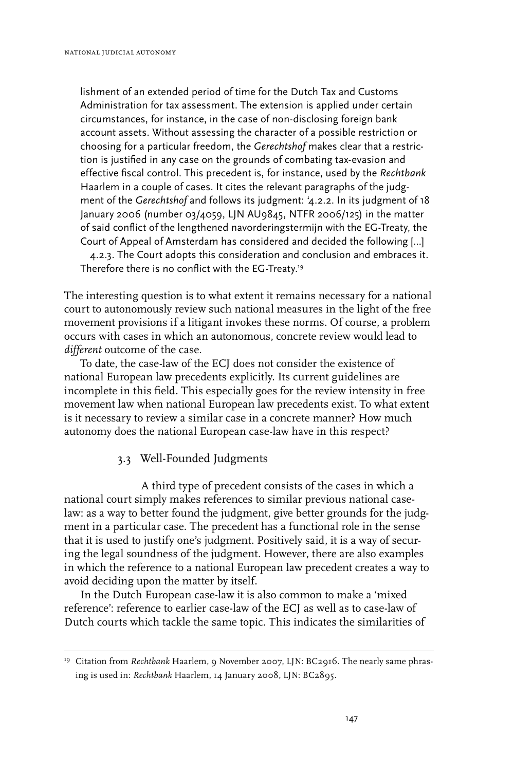lishment of an extended period of time for the Dutch Tax and Customs Administration for tax assessment. The extension is applied under certain circumstances, for instance, in the case of non-disclosing foreign bank account assets. Without assessing the character of a possible restriction or choosing for a particular freedom, the *Gerechtshof* makes clear that a restriction is justified in any case on the grounds of combating tax-evasion and effective fiscal control. This precedent is, for instance, used by the *Rechtbank* Haarlem in a couple of cases. It cites the relevant paragraphs of the judgment of the *Gerechtshof* and follows its judgment: '4.2.2. In its judgment of 18 January 2006 (number 03/4059, LJN AU9845, NTFR 2006/125) in the matter of said conflict of the lengthened navorderingstermijn with the EG-Treaty, the Court of Appeal of Amsterdam has considered and decided the following […] 4.2.3. The Court adopts this consideration and conclusion and embraces it. Therefore there is no conflict with the EG-Treaty.19

The interesting question is to what extent it remains necessary for a national court to autonomously review such national measures in the light of the free movement provisions if a litigant invokes these norms. Of course, a problem occurs with cases in which an autonomous, concrete review would lead to *different* outcome of the case.

To date, the case-law of the ECJ does not consider the existence of national European law precedents explicitly. Its current guidelines are incomplete in this field. This especially goes for the review intensity in free movement law when national European law precedents exist. To what extent is it necessary to review a similar case in a concrete manner? How much autonomy does the national European case-law have in this respect?

3.3 Well-Founded Judgments

A third type of precedent consists of the cases in which a national court simply makes references to similar previous national caselaw: as a way to better found the judgment, give better grounds for the judgment in a particular case. The precedent has a functional role in the sense that it is used to justify one's judgment. Positively said, it is a way of securing the legal soundness of the judgment. However, there are also examples in which the reference to a national European law precedent creates a way to avoid deciding upon the matter by itself.

In the Dutch European case-law it is also common to make a 'mixed reference': reference to earlier case-law of the ECJ as well as to case-law of Dutch courts which tackle the same topic. This indicates the similarities of

<sup>&</sup>lt;sup>19</sup> Citation from *Rechtbank* Haarlem, 9 November 2007, LJN: BC2916. The nearly same phrasing is used in: *Rechtbank* Haarlem, 14 January 2008, LJN: BC2895.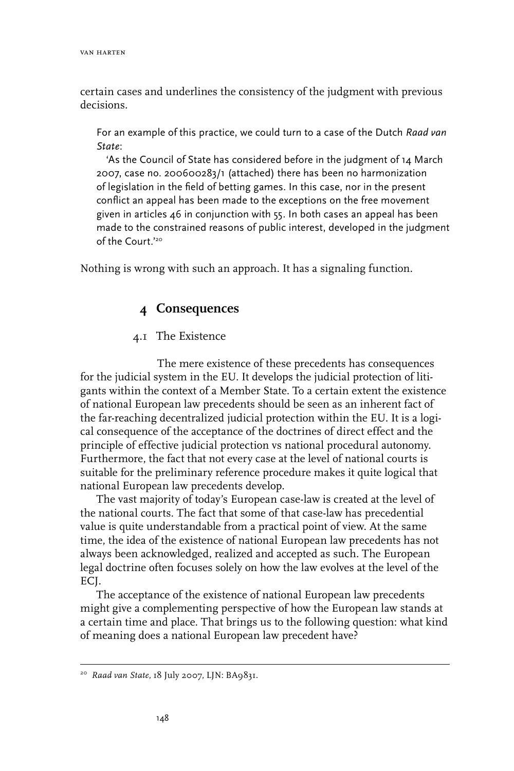certain cases and underlines the consistency of the judgment with previous decisions.

For an example of this practice, we could turn to a case of the Dutch *Raad van State*:

'As the Council of State has considered before in the judgment of 14 March 2007, case no. 200600283/1 (attached) there has been no harmonization of legislation in the field of betting games. In this case, nor in the present conflict an appeal has been made to the exceptions on the free movement given in articles 46 in conjunction with 55. In both cases an appeal has been made to the constrained reasons of public interest, developed in the judgment of the Court.'20

Nothing is wrong with such an approach. It has a signaling function.

# **4 Consequences**

#### 4.1 The Existence

The mere existence of these precedents has consequences for the judicial system in the EU. It develops the judicial protection of litigants within the context of a Member State. To a certain extent the existence of national European law precedents should be seen as an inherent fact of the far-reaching decentralized judicial protection within the EU. It is a logical consequence of the acceptance of the doctrines of direct effect and the principle of effective judicial protection vs national procedural autonomy. Furthermore, the fact that not every case at the level of national courts is suitable for the preliminary reference procedure makes it quite logical that national European law precedents develop.

The vast majority of today's European case-law is created at the level of the national courts. The fact that some of that case-law has precedential value is quite understandable from a practical point of view. At the same time, the idea of the existence of national European law precedents has not always been acknowledged, realized and accepted as such. The European legal doctrine often focuses solely on how the law evolves at the level of the ECI.

The acceptance of the existence of national European law precedents might give a complementing perspective of how the European law stands at a certain time and place. That brings us to the following question: what kind of meaning does a national European law precedent have?

<sup>20</sup> *Raad van State*, 18 July 2007, LJN: BA9831.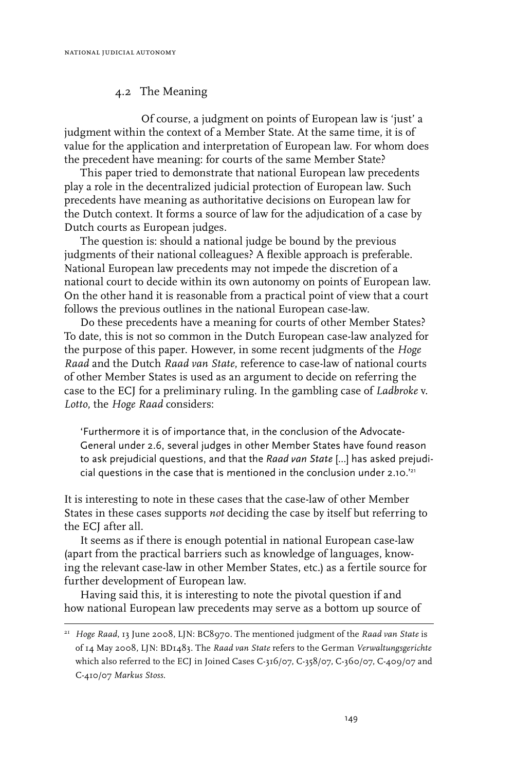## 4.2 The Meaning

Of course, a judgment on points of European law is 'just' a judgment within the context of a Member State. At the same time, it is of value for the application and interpretation of European law. For whom does the precedent have meaning: for courts of the same Member State?

This paper tried to demonstrate that national European law precedents play a role in the decentralized judicial protection of European law. Such precedents have meaning as authoritative decisions on European law for the Dutch context. It forms a source of law for the adjudication of a case by Dutch courts as European judges.

The question is: should a national judge be bound by the previous judgments of their national colleagues? A flexible approach is preferable. National European law precedents may not impede the discretion of a national court to decide within its own autonomy on points of European law. On the other hand it is reasonable from a practical point of view that a court follows the previous outlines in the national European case-law.

Do these precedents have a meaning for courts of other Member States? To date, this is not so common in the Dutch European case-law analyzed for the purpose of this paper. However, in some recent judgments of the *Hoge Raad* and the Dutch *Raad van State*, reference to case-law of national courts of other Member States is used as an argument to decide on referring the case to the ECJ for a preliminary ruling. In the gambling case of *Ladbroke* v. *Lotto*, the *Hoge Raad* considers:

'Furthermore it is of importance that, in the conclusion of the Advocate-General under 2.6, several judges in other Member States have found reason to ask prejudicial questions, and that the *Raad van State* [...] has asked prejudicial questions in the case that is mentioned in the conclusion under 2.10.'21

It is interesting to note in these cases that the case-law of other Member States in these cases supports *not* deciding the case by itself but referring to the ECJ after all.

It seems as if there is enough potential in national European case-law (apart from the practical barriers such as knowledge of languages, knowing the relevant case-law in other Member States, etc.) as a fertile source for further development of European law.

Having said this, it is interesting to note the pivotal question if and how national European law precedents may serve as a bottom up source of

<sup>21</sup> *Hoge Raad*, 13 June 2008, LJN: BC8970. The mentioned judgment of the *Raad van State* is of 14 May 2008, LJN: BD1483. The *Raad van State* refers to the German *Verwaltungsgerichte* which also referred to the ECJ in Joined Cases C-316/07, C-358/07, C-360/07, C-409/07 and C-410/07 *Markus Stoss*.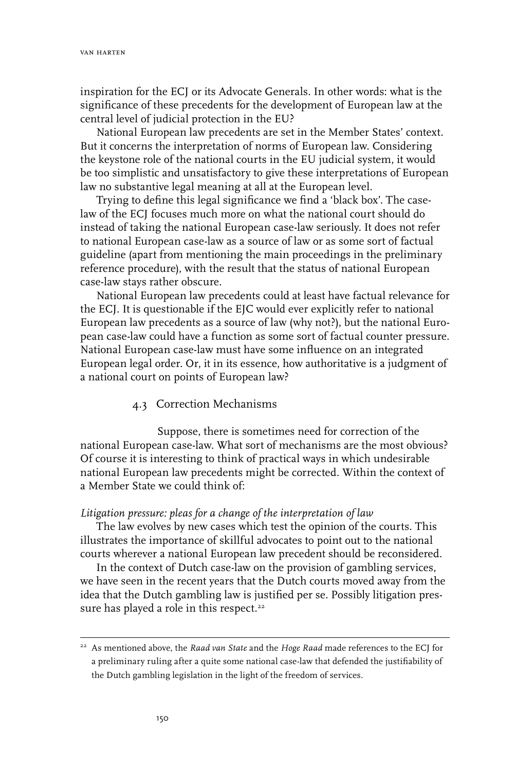inspiration for the ECJ or its Advocate Generals. In other words: what is the significance of these precedents for the development of European law at the central level of judicial protection in the EU?

National European law precedents are set in the Member States' context. But it concerns the interpretation of norms of European law. Considering the keystone role of the national courts in the EU judicial system, it would be too simplistic and unsatisfactory to give these interpretations of European law no substantive legal meaning at all at the European level.

Trying to define this legal significance we find a 'black box'. The caselaw of the ECJ focuses much more on what the national court should do instead of taking the national European case-law seriously. It does not refer to national European case-law as a source of law or as some sort of factual guideline (apart from mentioning the main proceedings in the preliminary reference procedure), with the result that the status of national European case-law stays rather obscure.

National European law precedents could at least have factual relevance for the ECJ. It is questionable if the EJC would ever explicitly refer to national European law precedents as a source of law (why not?), but the national European case-law could have a function as some sort of factual counter pressure. National European case-law must have some influence on an integrated European legal order. Or, it in its essence, how authoritative is a judgment of a national court on points of European law?

#### 4.3 Correction Mechanisms

Suppose, there is sometimes need for correction of the national European case-law. What sort of mechanisms are the most obvious? Of course it is interesting to think of practical ways in which undesirable national European law precedents might be corrected. Within the context of a Member State we could think of:

#### *Litigation pressure: pleas for a change of the interpretation of law*

The law evolves by new cases which test the opinion of the courts. This illustrates the importance of skillful advocates to point out to the national courts wherever a national European law precedent should be reconsidered.

In the context of Dutch case-law on the provision of gambling services, we have seen in the recent years that the Dutch courts moved away from the idea that the Dutch gambling law is justified per se. Possibly litigation pressure has played a role in this respect.<sup>22</sup>

<sup>22</sup> As mentioned above, the *Raad van State* and the *Hoge Raad* made references to the ECJ for a preliminary ruling after a quite some national case-law that defended the justifiability of the Dutch gambling legislation in the light of the freedom of services.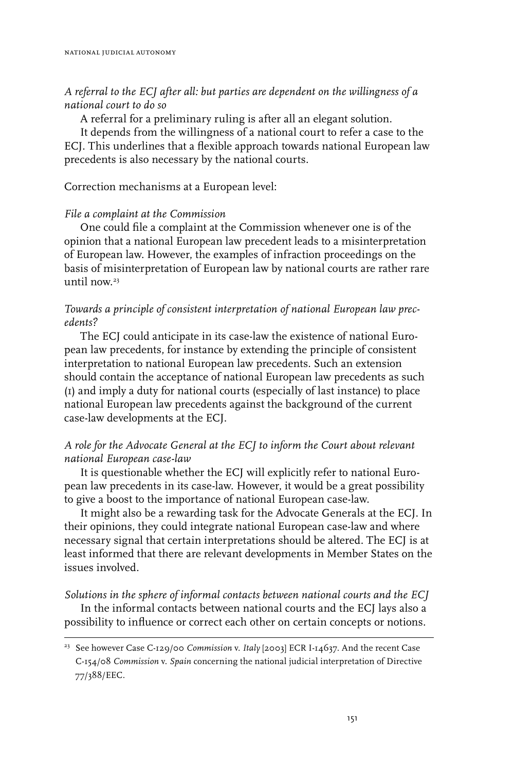*A referral to the ECJ after all: but parties are dependent on the willingness of a national court to do so* 

A referral for a preliminary ruling is after all an elegant solution.

It depends from the willingness of a national court to refer a case to the ECJ. This underlines that a flexible approach towards national European law precedents is also necessary by the national courts.

Correction mechanisms at a European level:

#### *File a complaint at the Commission*

One could file a complaint at the Commission whenever one is of the opinion that a national European law precedent leads to a misinterpretation of European law. However, the examples of infraction proceedings on the basis of misinterpretation of European law by national courts are rather rare until now.<sup>23</sup>

# *Towards a principle of consistent interpretation of national European law precedents?*

The ECJ could anticipate in its case-law the existence of national European law precedents, for instance by extending the principle of consistent interpretation to national European law precedents. Such an extension should contain the acceptance of national European law precedents as such (1) and imply a duty for national courts (especially of last instance) to place national European law precedents against the background of the current case-law developments at the ECJ.

### *A role for the Advocate General at the ECJ to inform the Court about relevant national European case-law*

It is questionable whether the ECJ will explicitly refer to national European law precedents in its case-law. However, it would be a great possibility to give a boost to the importance of national European case-law.

It might also be a rewarding task for the Advocate Generals at the ECJ. In their opinions, they could integrate national European case-law and where necessary signal that certain interpretations should be altered. The ECJ is at least informed that there are relevant developments in Member States on the issues involved.

*Solutions in the sphere of informal contacts between national courts and the ECJ*

In the informal contacts between national courts and the ECJ lays also a possibility to influence or correct each other on certain concepts or notions.

<sup>&</sup>lt;sup>23</sup> See however Case C-129/00 *Commission* v. Italy [2003] ECR I-14637. And the recent Case C-154/08 *Commission* v. *Spain* concerning the national judicial interpretation of Directive 77/388/EEC.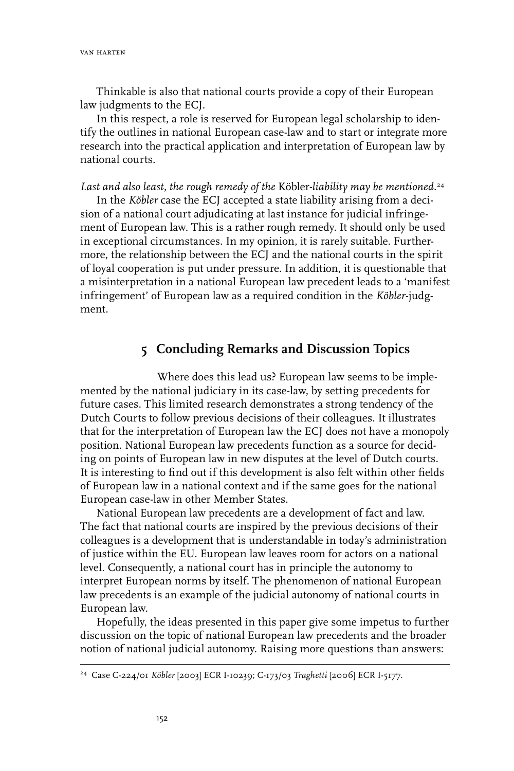Thinkable is also that national courts provide a copy of their European law judgments to the ECJ.

In this respect, a role is reserved for European legal scholarship to identify the outlines in national European case-law and to start or integrate more research into the practical application and interpretation of European law by national courts.

#### *Last and also least, the rough remedy of the* Köbler*-liability may be mentioned.*<sup>24</sup>

In the *Köbler* case the ECJ accepted a state liability arising from a decision of a national court adjudicating at last instance for judicial infringement of European law. This is a rather rough remedy. It should only be used in exceptional circumstances. In my opinion, it is rarely suitable. Furthermore, the relationship between the ECJ and the national courts in the spirit of loyal cooperation is put under pressure. In addition, it is questionable that a misinterpretation in a national European law precedent leads to a 'manifest infringement' of European law as a required condition in the *Köbler*-judgment.

# **5 Concluding Remarks and Discussion Topics**

Where does this lead us? European law seems to be implemented by the national judiciary in its case-law, by setting precedents for future cases. This limited research demonstrates a strong tendency of the Dutch Courts to follow previous decisions of their colleagues. It illustrates that for the interpretation of European law the ECJ does not have a monopoly position. National European law precedents function as a source for deciding on points of European law in new disputes at the level of Dutch courts. It is interesting to find out if this development is also felt within other fields of European law in a national context and if the same goes for the national European case-law in other Member States.

National European law precedents are a development of fact and law. The fact that national courts are inspired by the previous decisions of their colleagues is a development that is understandable in today's administration of justice within the EU. European law leaves room for actors on a national level. Consequently, a national court has in principle the autonomy to interpret European norms by itself. The phenomenon of national European law precedents is an example of the judicial autonomy of national courts in European law.

Hopefully, the ideas presented in this paper give some impetus to further discussion on the topic of national European law precedents and the broader notion of national judicial autonomy. Raising more questions than answers:

<sup>24</sup> Case C-224/01 *Köbler* [2003] ECR I-10239; C-173/03 *Traghetti* [2006] ECR I-5177.